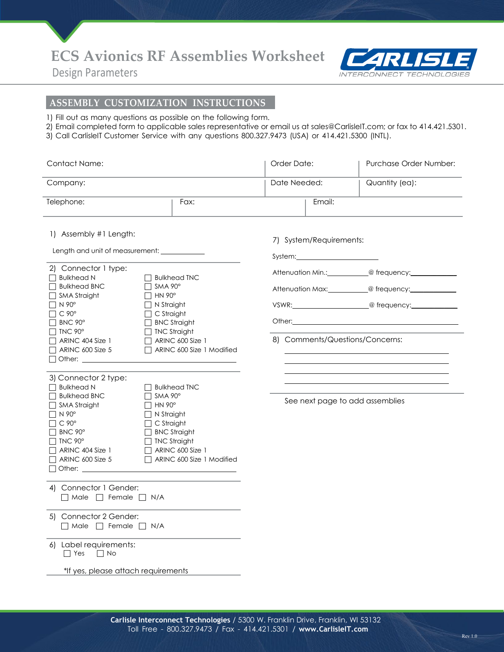**ECS Avionics RF Assemblies Worksheet**

# Design Parameters



## **ASSEMBLY CUSTOMIZATION INSTRUCTIONS**

- 1) Fill out as many questions as possible on the following form.
- **Email Form** 2) Email completed form to applicable sales representative or email us at sales@CarlisleIT.com; or fax to 414.421.5301.
- 3) Call CarlisleIT Customer Service with any questions 800.327.9473 (USA) or 414.421.5300 (INTL).

| Contact Name: |      | Order Date:  |        | Purchase Order Number: |
|---------------|------|--------------|--------|------------------------|
| Company:      |      | Date Needed: |        | Quantity (ea):         |
| Telephone:    | Fax: |              | Email: |                        |

7) System/Requirements:

System:

#### 1) Assembly #1 Length:

Length and unit of measurement:

| 2) Connector 1 type:<br><b>Bulkhead N</b><br><b>Bulkhead BNC</b><br><b>SMA Straight</b><br>$N.90^\circ$<br>$C90^\circ$<br>BNC 90°<br>$\Box$ TNC 90°<br>$\Box$ ARINC 404 Size 1<br>ARINC 600 Size 5<br>$\Box$ Other:                                                                                                                                                                                                                  | <b>Bulkhead TNC</b><br>$SMA 90^\circ$<br>HN 90°<br>N Straight<br>C Straight<br><b>BNC Straight</b><br>$\Box$ TNC Straight<br>$\Box$ ARINC 600 Size 1<br>$\Box$ ARINC 600 Size 1 Modified |  | 8) Comments/Questions/Concerns: | Attenuation Min.: 0 frequency:<br>Attenuation Max: @ frequency:<br>VSWR: 0 0 0 0 0 0 0 100 0 100 0 100 0 100 0 100 0 100 0 100 0 100 0 100 0 100 0 100 0 100 0 100 0 10 |  |
|--------------------------------------------------------------------------------------------------------------------------------------------------------------------------------------------------------------------------------------------------------------------------------------------------------------------------------------------------------------------------------------------------------------------------------------|------------------------------------------------------------------------------------------------------------------------------------------------------------------------------------------|--|---------------------------------|-------------------------------------------------------------------------------------------------------------------------------------------------------------------------|--|
| 3) Connector 2 type:<br>$\Box$ Bulkhead N<br><b>Bulkhead BNC</b><br><b>SMA Straight</b><br>$N.90^\circ$<br>$C90^\circ$<br>BNC 90°<br>$\Box$ TNC 90°<br>$\top$ ARINC 404 Size 1<br>ARINC 600 Size 5<br>Other: the contract of the contract of the contract of the contract of the contract of the contract of the contract of the contract of the contract of the contract of the contract of the contract of the contract of the con | <b>Bulkhead TNC</b><br>SMA 90°<br><b>HN 90°</b><br>N Straight<br>C Straight<br><b>BNC Straight</b><br>$\Box$ TNC Straight<br>$\Box$ ARINC 600 Size 1<br>$\Box$ ARINC 600 Size 1 Modified |  | See next page to add assemblies |                                                                                                                                                                         |  |
| 4) Connector 1 Gender:<br>$\Box$ Male $\Box$ Female $\Box$ N/A                                                                                                                                                                                                                                                                                                                                                                       |                                                                                                                                                                                          |  |                                 |                                                                                                                                                                         |  |
| 5) Connector 2 Gender:<br>$\Box$ Male $\Box$ Female $\Box$ N/A                                                                                                                                                                                                                                                                                                                                                                       |                                                                                                                                                                                          |  |                                 |                                                                                                                                                                         |  |
| 6) Label requirements:<br>$\Box$ Yes<br>$\Box$ No                                                                                                                                                                                                                                                                                                                                                                                    |                                                                                                                                                                                          |  |                                 |                                                                                                                                                                         |  |
| *If yes, please attach requirements                                                                                                                                                                                                                                                                                                                                                                                                  |                                                                                                                                                                                          |  |                                 |                                                                                                                                                                         |  |